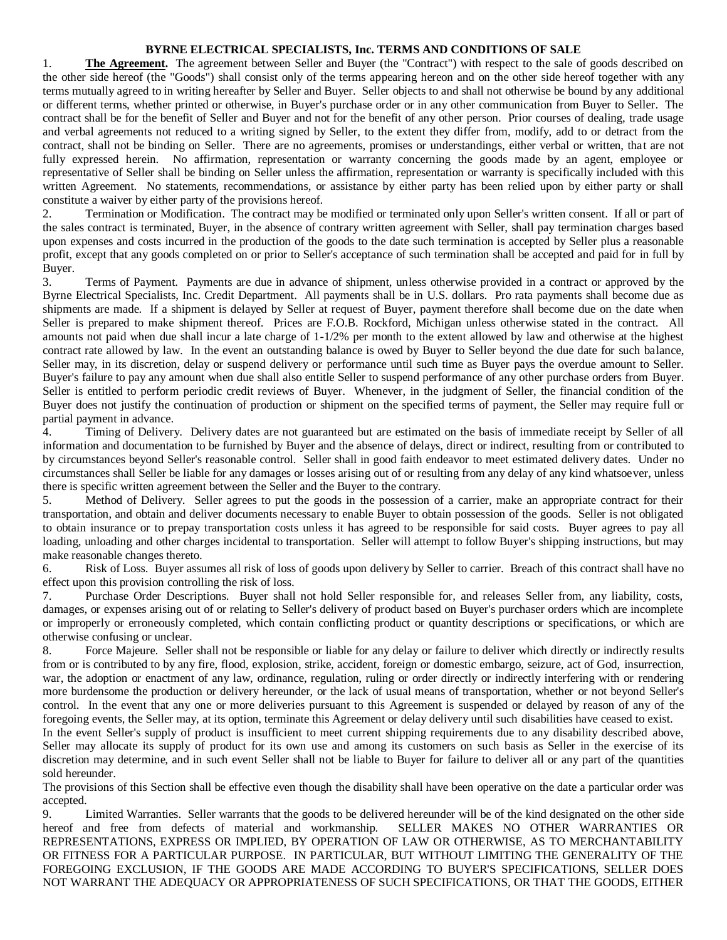## **BYRNE ELECTRICAL SPECIALISTS, Inc. TERMS AND CONDITIONS OF SALE**

1. **The Agreement.** The agreement between Seller and Buyer (the "Contract") with respect to the sale of goods described on the other side hereof (the "Goods") shall consist only of the terms appearing hereon and on the other side hereof together with any terms mutually agreed to in writing hereafter by Seller and Buyer. Seller objects to and shall not otherwise be bound by any additional or different terms, whether printed or otherwise, in Buyer's purchase order or in any other communication from Buyer to Seller. The contract shall be for the benefit of Seller and Buyer and not for the benefit of any other person. Prior courses of dealing, trade usage and verbal agreements not reduced to a writing signed by Seller, to the extent they differ from, modify, add to or detract from the contract, shall not be binding on Seller. There are no agreements, promises or understandings, either verbal or written, that are not fully expressed herein. No affirmation, representation or warranty concerning the goods made by an agent, employee or representative of Seller shall be binding on Seller unless the affirmation, representation or warranty is specifically included with this written Agreement. No statements, recommendations, or assistance by either party has been relied upon by either party or shall constitute a waiver by either party of the provisions hereof.

2. Termination or Modification. The contract may be modified or terminated only upon Seller's written consent. If all or part of the sales contract is terminated, Buyer, in the absence of contrary written agreement with Seller, shall pay termination charges based upon expenses and costs incurred in the production of the goods to the date such termination is accepted by Seller plus a reasonable profit, except that any goods completed on or prior to Seller's acceptance of such termination shall be accepted and paid for in full by Buyer.

3. Terms of Payment. Payments are due in advance of shipment, unless otherwise provided in a contract or approved by the Byrne Electrical Specialists, Inc. Credit Department. All payments shall be in U.S. dollars. Pro rata payments shall become due as shipments are made. If a shipment is delayed by Seller at request of Buyer, payment therefore shall become due on the date when Seller is prepared to make shipment thereof. Prices are F.O.B. Rockford, Michigan unless otherwise stated in the contract. All amounts not paid when due shall incur a late charge of 1-1/2% per month to the extent allowed by law and otherwise at the highest contract rate allowed by law. In the event an outstanding balance is owed by Buyer to Seller beyond the due date for such balance, Seller may, in its discretion, delay or suspend delivery or performance until such time as Buyer pays the overdue amount to Seller. Buyer's failure to pay any amount when due shall also entitle Seller to suspend performance of any other purchase orders from Buyer. Seller is entitled to perform periodic credit reviews of Buyer. Whenever, in the judgment of Seller, the financial condition of the Buyer does not justify the continuation of production or shipment on the specified terms of payment, the Seller may require full or partial payment in advance.

4. Timing of Delivery. Delivery dates are not guaranteed but are estimated on the basis of immediate receipt by Seller of all information and documentation to be furnished by Buyer and the absence of delays, direct or indirect, resulting from or contributed to by circumstances beyond Seller's reasonable control. Seller shall in good faith endeavor to meet estimated delivery dates. Under no circumstances shall Seller be liable for any damages or losses arising out of or resulting from any delay of any kind whatsoever, unless there is specific written agreement between the Seller and the Buyer to the contrary.

5. Method of Delivery. Seller agrees to put the goods in the possession of a carrier, make an appropriate contract for their transportation, and obtain and deliver documents necessary to enable Buyer to obtain possession of the goods. Seller is not obligated to obtain insurance or to prepay transportation costs unless it has agreed to be responsible for said costs. Buyer agrees to pay all loading, unloading and other charges incidental to transportation. Seller will attempt to follow Buyer's shipping instructions, but may make reasonable changes thereto.

6. Risk of Loss. Buyer assumes all risk of loss of goods upon delivery by Seller to carrier. Breach of this contract shall have no effect upon this provision controlling the risk of loss.

7. Purchase Order Descriptions. Buyer shall not hold Seller responsible for, and releases Seller from, any liability, costs, damages, or expenses arising out of or relating to Seller's delivery of product based on Buyer's purchaser orders which are incomplete or improperly or erroneously completed, which contain conflicting product or quantity descriptions or specifications, or which are otherwise confusing or unclear.

8. Force Majeure. Seller shall not be responsible or liable for any delay or failure to deliver which directly or indirectly results from or is contributed to by any fire, flood, explosion, strike, accident, foreign or domestic embargo, seizure, act of God, insurrection, war, the adoption or enactment of any law, ordinance, regulation, ruling or order directly or indirectly interfering with or rendering more burdensome the production or delivery hereunder, or the lack of usual means of transportation, whether or not beyond Seller's control. In the event that any one or more deliveries pursuant to this Agreement is suspended or delayed by reason of any of the foregoing events, the Seller may, at its option, terminate this Agreement or delay delivery until such disabilities have ceased to exist.

In the event Seller's supply of product is insufficient to meet current shipping requirements due to any disability described above, Seller may allocate its supply of product for its own use and among its customers on such basis as Seller in the exercise of its discretion may determine, and in such event Seller shall not be liable to Buyer for failure to deliver all or any part of the quantities sold hereunder.

The provisions of this Section shall be effective even though the disability shall have been operative on the date a particular order was accepted.

9. Limited Warranties. Seller warrants that the goods to be delivered hereunder will be of the kind designated on the other side hereof and free from defects of material and workmanship. SELLER MAKES NO OTHER WARRANTIES OR REPRESENTATIONS, EXPRESS OR IMPLIED, BY OPERATION OF LAW OR OTHERWISE, AS TO MERCHANTABILITY OR FITNESS FOR A PARTICULAR PURPOSE. IN PARTICULAR, BUT WITHOUT LIMITING THE GENERALITY OF THE FOREGOING EXCLUSION, IF THE GOODS ARE MADE ACCORDING TO BUYER'S SPECIFICATIONS, SELLER DOES NOT WARRANT THE ADEQUACY OR APPROPRIATENESS OF SUCH SPECIFICATIONS, OR THAT THE GOODS, EITHER